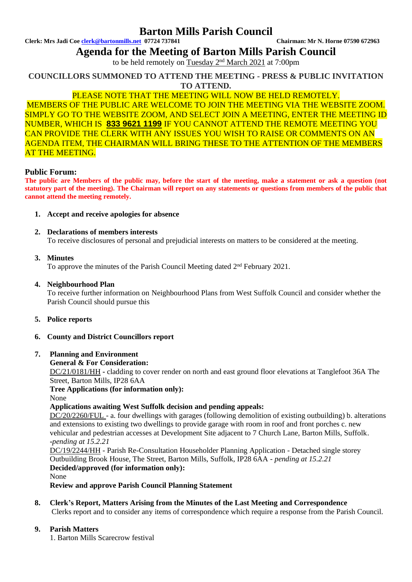## **Barton Mills Parish Council**

**Clerk: Mrs Jadi Coe [clerk@bartonmills.net](mailto:clerk@bartonmills.net) 07724 737841 Chairman: Mr N. Horne 07590 672963**

**Agenda for the Meeting of Barton Mills Parish Council**

to be held remotely on Tuesday 2<sup>nd</sup> March 2021 at 7:00pm

**COUNCILLORS SUMMONED TO ATTEND THE MEETING - PRESS & PUBLIC INVITATION TO ATTEND.**

### PLEASE NOTE THAT THE MEETING WILL NOW BE HELD REMOTELY.

MEMBERS OF THE PUBLIC ARE WELCOME TO JOIN THE MEETING VIA THE WEBSITE ZOOM. SIMPLY GO TO THE WEBSITE ZOOM, AND SELECT JOIN A MEETING, ENTER THE MEETING ID NUMBER, WHICH IS **833 9621 1199** IF YOU CANNOT ATTEND THE REMOTE MEETING YOU CAN PROVIDE THE CLERK WITH ANY ISSUES YOU WISH TO RAISE OR COMMENTS ON AN AGENDA ITEM, THE CHAIRMAN WILL BRING THESE TO THE ATTENTION OF THE MEMBERS AT THE MEETING.

### **Public Forum:**

**The public are Members of the public may, before the start of the meeting, make a statement or ask a question (not statutory part of the meeting). The Chairman will report on any statements or questions from members of the public that cannot attend the meeting remotely.**

### **1. Accept and receive apologies for absence**

### **2. Declarations of members interests**

To receive disclosures of personal and prejudicial interests on matters to be considered at the meeting.

### **3. Minutes**

To approve the minutes of the Parish Council Meeting dated 2<sup>nd</sup> February 2021.

### **4. Neighbourhood Plan**

To receive further information on Neighbourhood Plans from West Suffolk Council and consider whether the Parish Council should pursue this

- **5. Police reports**
- **6. County and District Councillors report**

### **7. Planning and Environment**

#### **General & For Consideration:**

DC/21/0181/HH **-** cladding to cover render on north and east ground floor elevations at Tanglefoot 36A The Street, Barton Mills, IP28 6AA

**Tree Applications (for information only):**

## None

**Applications awaiting West Suffolk decision and pending appeals:** DC/20/2260/FUL - a. four dwellings with garages (following demolition of existing outbuilding) b. alterations and extensions to existing two dwellings to provide garage with room in roof and front porches c. new vehicular and pedestrian accesses at Development Site adjacent to 7 Church Lane, Barton Mills, Suffolk.

**-***pending at 15.2.21*

DC/19/2244/HH - Parish Re-Consultation Householder Planning Application - Detached single storey Outbuilding Brook House, The Street, Barton Mills, Suffolk, IP28 6AA - *pending at 15.2.21* **Decided/approved (for information only):** None

**Review and approve Parish Council Planning Statement**

#### **8. Clerk's Report, Matters Arising from the Minutes of the Last Meeting and Correspondence** Clerks report and to consider any items of correspondence which require a response from the Parish Council.

### **9. Parish Matters**

1. Barton Mills Scarecrow festival